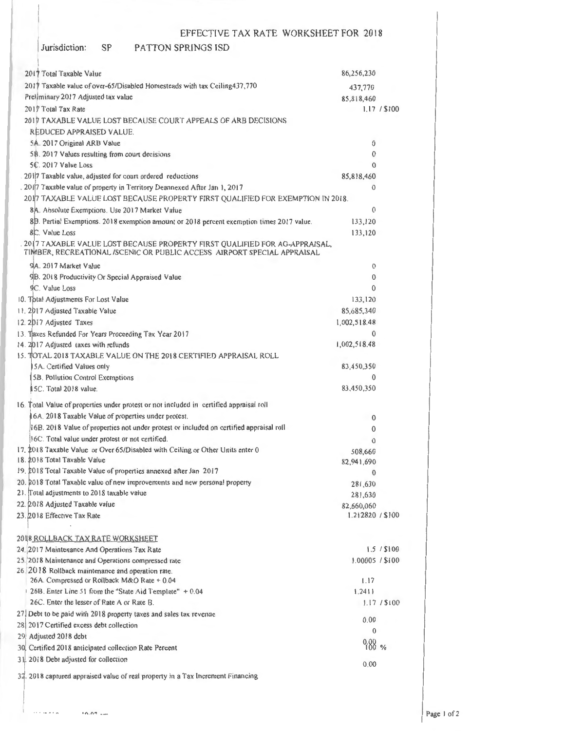### Jurisdiction: SP PATTON SPRINGS lSD

| 2017 Total Taxable Value                                                                                                                                | 86,256,230           |              |
|---------------------------------------------------------------------------------------------------------------------------------------------------------|----------------------|--------------|
| 2017 Taxable value of over-65/Disabled Homesteads with tax Ceiling 437,770                                                                              | 437,770              |              |
| Preliminary 2017 Adjusted tax value                                                                                                                     | 85,818,460           |              |
| 2017 Total Tax Rate                                                                                                                                     |                      | 1.17 / \$100 |
| 2017 TAXABLE VALUE LOST BECAUSE COURT APPEALS OF ARB DECISIONS                                                                                          |                      |              |
| REDUCED APPRAISED VALUE.                                                                                                                                |                      |              |
| 5A. 2017 Original ARB Value                                                                                                                             | 0                    |              |
| 5B. 2017 Values resulting from court decisions                                                                                                          | $\mathbf{0}$         |              |
| 5C. 2017 Value Loss                                                                                                                                     | $\Omega$             |              |
| 2017 Taxable value, adjusted for court ordered reductions                                                                                               | 85,818,460           |              |
| . 2017 Taxable value of property in Territory Deannexed After Jan 1, 2017                                                                               | 0                    |              |
| 2017 TAXABLE VALUE LOST BECAUSE PROPERTY FIRST QUALIFIED FOR EXEMPTION IN 2018.                                                                         |                      |              |
| 8A. Absolute Exemptions. Use 2017 Market Value                                                                                                          | $\theta$             |              |
| 8B. Partial Exemptions. 2018 exemption amount or 2018 percent exemption times 2017 value.                                                               | 133,120              |              |
| 8C. Value Loss                                                                                                                                          | 133,120              |              |
| . 2017 TAXABLE VALUE LOST BECAUSE PROPERTY FIRST QUALIFIED FOR AG-APPRAISAL,<br>TIMBER, RECREATIONAL /SCENIC OR PUBLIC ACCESS AJRPORT SPECIAL APPRAISAL |                      |              |
| 9A. 2017 Market Value                                                                                                                                   | 0                    |              |
| 9B. 2018 Productivity Or Special Appraised Value                                                                                                        | 0                    |              |
| <b>9C.</b> Value Loss                                                                                                                                   | 0                    |              |
| 10. Total Adjustments For Lost Value                                                                                                                    | 133,120              |              |
| 11. 2017 Adjusted Taxable Value                                                                                                                         | 85,685,340           |              |
| 12. 2017 Adjusted Taxes                                                                                                                                 | 1,002,518.48         |              |
| 13. Taxes Refunded For Years Proceeding Tax Year 2017                                                                                                   | $\Omega$             |              |
| 14. 2017 Adjusted taxes with refunds                                                                                                                    | 1,002,518.48         |              |
| 15. TOTAL 2018 TAXABLE VALUE ON THE 2018 CERTIFIED APPRAISAL ROLL                                                                                       |                      |              |
| 5A. Certified Values only                                                                                                                               | 83,450,350           |              |
| 5B. Pollution Control Exemptions                                                                                                                        | 0                    |              |
| ISC. Total 2018 value.                                                                                                                                  | 83,450,350           |              |
| 16. Total Value of properties under protest or not included in certified appraisal roll                                                                 |                      |              |
| 16A. 2018 Taxable Value of properties under protest.                                                                                                    | $\bf{0}$             |              |
| 16B. 2018 Value of properties not under protest or included on certified appraisal roll                                                                 | 0                    |              |
| 16C. Total value under protest or not certified.                                                                                                        | $\Omega$             |              |
| 17. 2018 Taxable Value or Over 65/Disabled with Ceiling or Other Units enter 0                                                                          | 508,660              |              |
| 18. 2018 Total Taxable Value                                                                                                                            | 82,941,690           |              |
| 19. 2018 Total Taxable Value of properties annexed after Jan 2017                                                                                       | $\theta$             |              |
| 20. 2018 Total Taxable value of new improvements and new personal property                                                                              | 281,630              |              |
| 21. Total adjustments to 2018 taxable value                                                                                                             | 281,630              |              |
| 22. 2018 Adjusted Taxable value                                                                                                                         | 82,660,060           |              |
| 23. 2018 Effective Tax Rate                                                                                                                             | 1.212820 / \$100     |              |
|                                                                                                                                                         |                      |              |
| 2018 ROLLBACK TAX RATE WORKSHEET<br>24. 2017 Maintenance And Operations Tax Rate                                                                        |                      | 1.5 / \$100  |
| 25. 2018 Maintenance and Operations compressed rate                                                                                                     | 1.00005 / \$100      |              |
| 26. 2018 Rollback maintenance and operation rate.                                                                                                       |                      |              |
| 26A. Compressed or Rollback M&O Rate + 0.04                                                                                                             | 1.17                 |              |
| 26B. Enter Line 51 from the "State Aid Template" + 0.04                                                                                                 | 1.2411               |              |
| 26C. Enter the lesser of Rate A or Rate B.                                                                                                              |                      | 1.17 / \$100 |
| 27 Debt to be paid with 2018 property taxes and sales tax revenue                                                                                       |                      |              |
| 28 2017 Certified excess debt collection                                                                                                                | 0.00<br>$\mathbf{0}$ |              |
| 29 Adjusted 2018 debt                                                                                                                                   |                      |              |
| 30 Certified 2018 anticipated collection Rate Percent                                                                                                   | $^{0.00}_{100}$ %    |              |
| 31. 2018 Debt adjusted for collection                                                                                                                   | 0.00                 |              |
| 32. 2018 captured appraised value of real property in a Tax Increment Financing                                                                         |                      |              |
|                                                                                                                                                         |                      |              |
|                                                                                                                                                         |                      |              |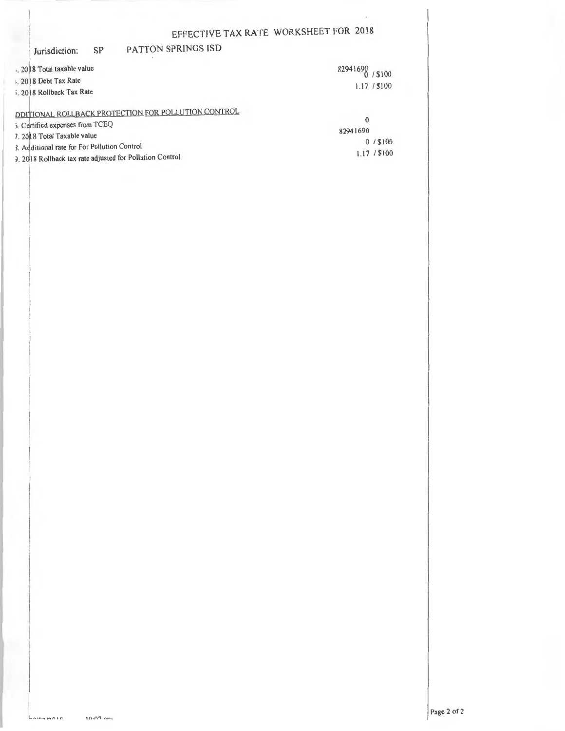### SP PATTON SPRINGS ISD Jurisdiction:

| 2018 Total taxable value                                                                                               | 82941690 / \$100         |
|------------------------------------------------------------------------------------------------------------------------|--------------------------|
| 1. 2018 Debt Tax Rate                                                                                                  | 1.17 / \$100             |
| i. 2018 Rollback Tax Rate                                                                                              |                          |
| DDITIONAL ROLLBACK PROTECTION FOR POLLUTION CONTROL<br>5. Certified expenses from TCEQ<br>7. 20 18 Total Taxable value | $\mathbf{0}$<br>82941690 |
| 3. Additional rate for For Pollution Control<br>3. 2018 Rollback tax rate adjusted for Pollution Control               | 0/1100<br>1.17 / \$100   |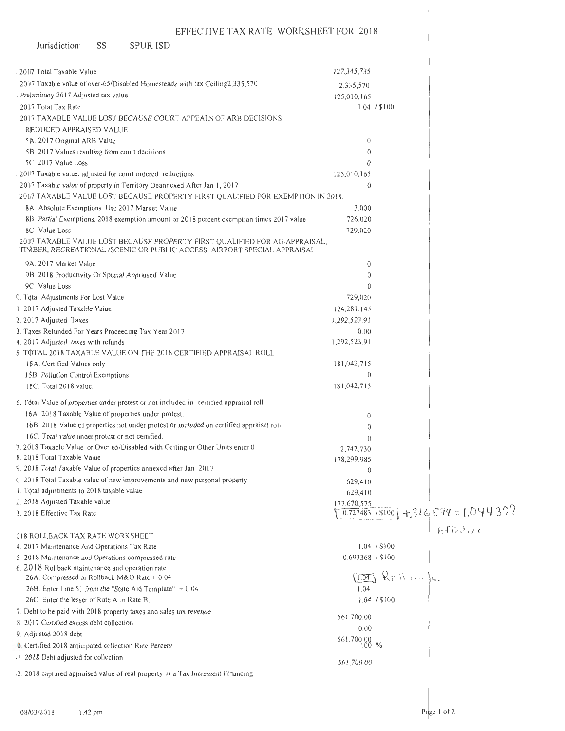| Jurisdiction:<br>SS<br><b>SPUR ISD</b>                                                                                                                |                         |                 |                                              |
|-------------------------------------------------------------------------------------------------------------------------------------------------------|-------------------------|-----------------|----------------------------------------------|
|                                                                                                                                                       |                         |                 |                                              |
| 2017 Total Taxable Value                                                                                                                              | 127,345,735             |                 |                                              |
| 2017 Taxable value of over-65/Disabled Homesteads with tax Ceiling2,335,570                                                                           | 2,335,570               |                 |                                              |
| Preliminary 2017 Adjusted tax value                                                                                                                   | 125,010,165             | 1.04 / \$100    |                                              |
| 2017 Total Tax Rate<br>2017 TAXABLE VALUE LOST BECAUSE COURT APPEALS OF ARB DECISIONS                                                                 |                         |                 |                                              |
| REDUCED APPRAISED VALUE.                                                                                                                              |                         |                 |                                              |
| 5A. 2017 Original ARB Value                                                                                                                           | $\theta$                |                 |                                              |
| 5B. 2017 Values resulting from court decisions                                                                                                        | $\theta$                |                 |                                              |
| 5C. 2017 Value Loss                                                                                                                                   | $\theta$                |                 |                                              |
| 2017 Taxable value, adjusted for court ordered reductions                                                                                             | 125,010,165             |                 |                                              |
| 2017 Taxable value of property in Territory Deannexed After Jan 1, 2017                                                                               | $\theta$                |                 |                                              |
| 2017 TAXABLE VALUE LOST BECAUSE PROPERTY FIRST QUALIFIED FOR EXEMPTION IN 2018.                                                                       |                         |                 |                                              |
| 8A. Absolute Exemptions. Use 2017 Market Value                                                                                                        | 3,000                   |                 |                                              |
| 8B. Partial Exemptions. 2018 exemption amount or 2018 percent exemption times 2017 value.                                                             | 726,020                 |                 |                                              |
| 8C. Value Loss                                                                                                                                        | 729,020                 |                 |                                              |
| 2017 TAXABLE VALUE LOST BECAUSE PROPERTY FIRST QUALIFIED FOR AG-APPRAISAL,<br>TIMBER, RECREATIONAL /SCENIC OR PUBLIC ACCESS AIRPORT SPECIAL APPRAISAL |                         |                 |                                              |
| 9A. 2017 Market Value                                                                                                                                 | $\theta$                |                 |                                              |
| 9B. 2018 Productivity Or Special Appraised Value                                                                                                      | $\theta$                |                 |                                              |
| 9C. Value Loss                                                                                                                                        | $\theta$                |                 |                                              |
| 0. Total Adjustments For Lost Value                                                                                                                   | 729,020                 |                 |                                              |
| 1. 2017 Adjusted Taxable Value                                                                                                                        | 124,281,145             |                 |                                              |
| 2. 2017 Adjusted Taxes                                                                                                                                | 1,292,523.91            |                 |                                              |
| 3. Taxes Refunded For Years Proceeding Tax Year 2017                                                                                                  | 0.00                    |                 |                                              |
| 4.2017 Adjusted taxes with refunds                                                                                                                    | 1,292,523.91            |                 |                                              |
| 5. TOTAL 2018 TAXABLE VALUE ON THE 2018 CERTIFIED APPRAISAL ROLL.                                                                                     |                         |                 |                                              |
| 15A. Certified Values only                                                                                                                            | 181,042,715<br>$\theta$ |                 |                                              |
| 15B. Pollution Control Exemptions<br>15C. Total 2018 value.                                                                                           | 181,042,715             |                 |                                              |
|                                                                                                                                                       |                         |                 |                                              |
| 6. Total Value of properties under protest or not included in certified appraisal roll                                                                |                         |                 |                                              |
| 16A. 2018 Taxable Value of properties under protest.                                                                                                  | $\theta$                |                 |                                              |
| 16B. 2018 Value of properties not under protest or included on certified appraisal roll                                                               | $\theta$                |                 |                                              |
| 16C. Total value under protest or not certified.                                                                                                      | $\theta$                |                 |                                              |
| 7. 2018 Taxable Value or Over 65/Disabled with Ceiling or Other Units enter 0<br>8. 2018 Total Taxable Value                                          | 2,742,730               |                 |                                              |
| 9. 2018 Total Taxable Value of properties annexed after Jan 2017                                                                                      | 178,299,985             |                 |                                              |
| 0. 2018 Total Taxable value of new improvements and new personal property                                                                             | $\theta$                |                 |                                              |
| 1. Total adjustments to 2018 taxable value                                                                                                            | 629,410                 |                 |                                              |
| 2. 2018 Adjusted Taxable value                                                                                                                        | 629,410<br>177,670,575  |                 |                                              |
| 3. 2018 Effective Tax Rate                                                                                                                            |                         |                 | $\frac{0.727483}{15100} + 316.294 = 1.04432$ |
| 018 ROLLBACK TAX RATE WORKSHEET                                                                                                                       |                         |                 | EFC <sub>1</sub>                             |
| 4. 2017 Maintenance And Operations Tax Rate                                                                                                           |                         | 1.04 / \$100    |                                              |
| 5. 2018 Maintenance and Operations compressed rate                                                                                                    | 0.693368 / \$100        |                 |                                              |
| 6. 2018 Rollback maintenance and operation rate.                                                                                                      |                         |                 |                                              |
| 26A. Compressed or Rollback M&O Rate + 0.04                                                                                                           |                         | $(1.041 \& rW)$ |                                              |
| 26B. Enter Line 51 from the "State Aid Template" + 0.04                                                                                               | 1.04                    |                 |                                              |
| 26C. Enter the lesser of Rate A or Rate B.                                                                                                            |                         | 1.04 / \$100    |                                              |
| 7. Debt to be paid with 2018 property taxes and sales tax revenue                                                                                     | 561.700.00              |                 |                                              |
| 8. 2017 Certified excess debt collection                                                                                                              | 0.00                    |                 |                                              |
| 9. Adjusted 2018 debt                                                                                                                                 | $561,700.00$ %          |                 |                                              |
| 0. Certified 2018 anticipated collection Rate Percent                                                                                                 |                         |                 |                                              |
| 1.2018 Debt adjusted for collection                                                                                                                   | 561,700.00              |                 |                                              |
| 2. 2018 captured appraised value of real property in a Tax Increment Financing                                                                        |                         |                 |                                              |
|                                                                                                                                                       |                         |                 |                                              |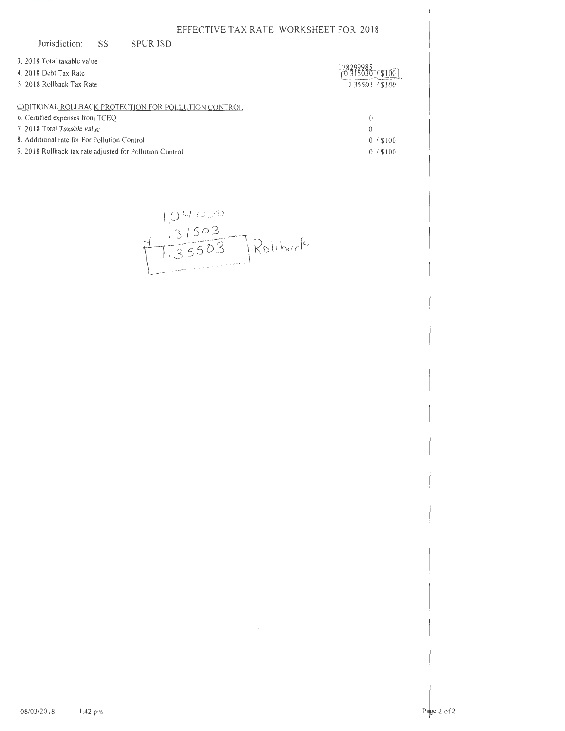| Jurisdiction:                                            | SS | <b>SPUR ISD</b>                                             |                  |  |
|----------------------------------------------------------|----|-------------------------------------------------------------|------------------|--|
| 3. 2018 Total taxable value                              |    |                                                             |                  |  |
| 4. 2018 Debt Tax Rate                                    |    |                                                             |                  |  |
| 5. 2018 Rollback Tax Rate                                |    |                                                             | 1.35503 / \$100  |  |
|                                                          |    | <b>ADDITIONAL ROLLBACK PROTECTION FOR POLLUTION CONTROL</b> |                  |  |
| 6. Certified expenses from TCEQ                          |    |                                                             | $\left( \right)$ |  |
| 7. 2018 Total Taxable value                              |    |                                                             | $\theta$         |  |
| 8. Additional rate for For Pollution Control             |    |                                                             | $0/$ \$100       |  |
| 9. 2018 Rollback tax rate adjusted for Pollution Control |    |                                                             | $0/$ \$100       |  |

 $104000$ <br> $1.31503$ <br> $7.35503$  Rollback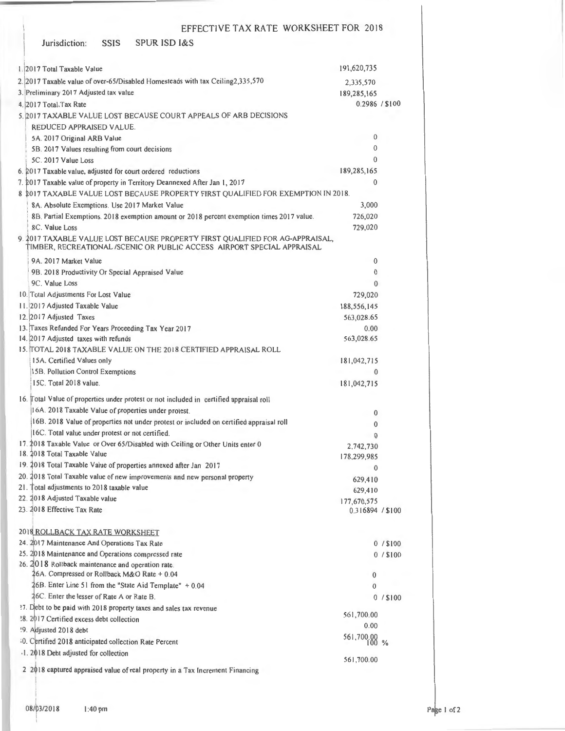| <b>SPUR ISD I&amp;S</b><br><b>SSIS</b><br>Jurisdiction:                                                                                                  |                           |            |
|----------------------------------------------------------------------------------------------------------------------------------------------------------|---------------------------|------------|
| 1.2017 Total Taxable Value                                                                                                                               | 191,620,735               |            |
| 2. 2017 Taxable value of over-65/Disabled Homesteads with tax Ceiling2,335,570                                                                           | 2,335,570                 |            |
| 3. Preliminary 2017 Adjusted tax value                                                                                                                   | 189,285,165               |            |
| 4. 2017 Total Tax Rate                                                                                                                                   | 0.2986 / \$100            |            |
| 5. 2017 TAXABLE VALUE LOST BECAUSE COURT APPEALS OF ARB DECISIONS                                                                                        |                           |            |
| REDUCED APPRAISED VALUE.                                                                                                                                 |                           |            |
| 5A. 2017 Original ARB Value                                                                                                                              | $\bf{0}$                  |            |
| 5B. 2017 Values resulting from court decisions                                                                                                           | $\theta$                  |            |
| 5C. 2017 Value Loss                                                                                                                                      | $\Omega$                  |            |
| 6. 2017 Taxable value, adjusted for court ordered reductions                                                                                             | 189,285,165               |            |
| 7. 2017 Taxable value of property in Territory Deannexed After Jan 1, 2017                                                                               | $\theta$                  |            |
| 8 2017 TAXABLE VALUE LOST BECAUSE PROPERTY FIRST QUALIFIED FOR EXEMPTION IN 2018.                                                                        |                           |            |
| 8A. Absolute Exemptions. Use 2017 Market Value                                                                                                           | 3,000                     |            |
| 8B. Partial Exemptions. 2018 exemption amount or 2018 percent exemption times 2017 value.                                                                | 726,020                   |            |
| 8C. Value Loss                                                                                                                                           | 729,020                   |            |
| 9. 2017 TAXABLE VALUE LOST BECAUSE PROPERTY FIRST QUALIFIED FOR AG-APPRAISAL,<br>TIMBER, RECREATIONAL /SCENIC OR PUBLIC ACCESS AIRPORT SPECIAL APPRAISAL |                           |            |
| 9A. 2017 Market Value                                                                                                                                    | 0                         |            |
| 9B. 2018 Productivity Or Special Appraised Value                                                                                                         | $\theta$                  |            |
| 9C. Value Loss                                                                                                                                           | $\theta$                  |            |
| 10. Total Adjustments For Lost Value                                                                                                                     | 729,020                   |            |
| 11. 2017 Adjusted Taxable Value                                                                                                                          | 188,556,145<br>563,028.65 |            |
| 12. 2017 Adjusted Taxes<br>13. Taxes Refunded For Years Proceeding Tax Year 2017                                                                         | 0.00                      |            |
| 14. 2017 Adjusted taxes with refunds                                                                                                                     | 563,028.65                |            |
| 15. TOTAL 2018 TAXABLE VALUE ON THE 2018 CERTIFIED APPRAISAL ROLL                                                                                        |                           |            |
| 15A. Certified Values only                                                                                                                               | 181,042,715               |            |
| 15B. Pollution Control Exemptions                                                                                                                        | $\theta$                  |            |
| 15C. Total 2018 value.                                                                                                                                   | 181,042,715               |            |
| 16. Total Value of properties under protest or not included in certified appraisal roll                                                                  |                           |            |
| 16A. 2018 Taxable Value of properties under protest.                                                                                                     | $\bf{0}$                  |            |
| 16B. 2018 Value of properties not under protest or included on certified appraisal roll                                                                  | 0                         |            |
| 16C. Total value under protest or not certified.                                                                                                         | $\mathbf{0}$              |            |
| 17. 2018 Taxable Value or Over 65/Disabled with Ceiling or Other Units enter 0                                                                           | 2,742,730                 |            |
| 18. 2018 Total Taxable Value                                                                                                                             | 178,299,985               |            |
| 19. 2018 Total Taxable Value of properties annexed after Jan 2017                                                                                        | $\theta$                  |            |
| 20. 2018 Total Taxable value of new improvements and new personal property                                                                               | 629,410                   |            |
| 21. Total adjustments to 2018 taxable value                                                                                                              | 629,410                   |            |
| 22. 2018 Adjusted Taxable value<br>23. 2018 Effective Tax Rate                                                                                           | 177,670,575               |            |
|                                                                                                                                                          | 0.316894 / \$100          |            |
| 2018 ROLLBACK TAX RATE WORKSHEET                                                                                                                         |                           |            |
| 24. 2017 Maintenance And Operations Tax Rate                                                                                                             |                           | $0/$ \$100 |
| 25. 2018 Maintenance and Operations compressed rate<br>26. 2018 Rollback maintenance and operation rate.                                                 |                           | $0/$ \$100 |
| 26A. Compressed or Rollback M&O Rate + 0.04                                                                                                              | 0                         |            |
| 46B. Enter Line 51 from the "State Aid Template" + 0.04                                                                                                  | 0                         |            |
| 26C. Enter the lesser of Rate A or Rate B.                                                                                                               |                           | $0/$ \$100 |
| ?7. Debt to be paid with 2018 property taxes and sales tax revenue                                                                                       |                           |            |
| '8. 2017 Certified excess debt collection                                                                                                                | 561,700.00                |            |
| '9. Adjusted 2018 debt                                                                                                                                   | 0.00                      |            |
| 10. Certified 2018 anticipated collection Rate Percent                                                                                                   | $561,700.00$ %            |            |
| 1. 2018 Debt adjusted for collection                                                                                                                     | 561,700.00                |            |
| 2 2018 captured appraised value of real property in a Tax Increment Financing                                                                            |                           |            |

I I

I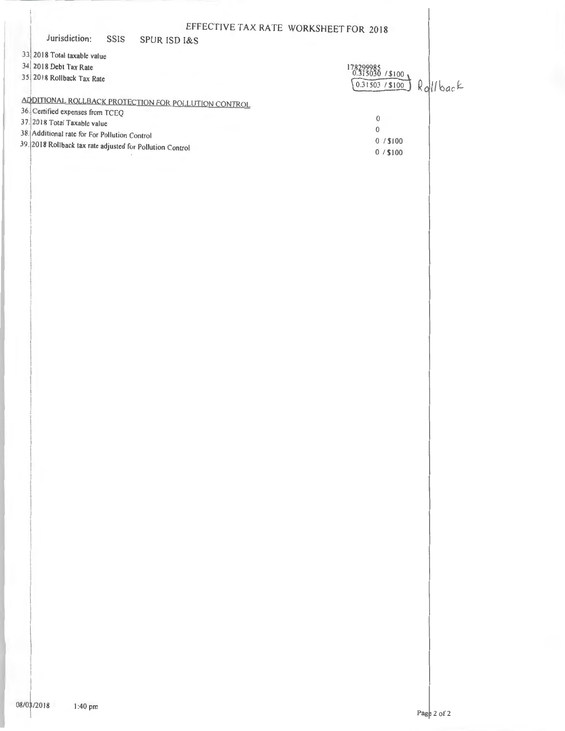|                                                           |      |                                                      | EFFECTIVE TAX RATE WORKSHEET FOR 2018 |       |
|-----------------------------------------------------------|------|------------------------------------------------------|---------------------------------------|-------|
| Jurisdiction:                                             | SSIS | <b>SPUR ISD I&amp;S</b>                              |                                       |       |
| 33 2018 Total taxable value                               |      |                                                      |                                       |       |
| 34 2018 Debt Tax Rate                                     |      |                                                      | 178299985<br>0.315030 / \$100         |       |
| 35 2018 Rollback Tax Rate                                 |      |                                                      | 0.31503 / \$100                       | lback |
|                                                           |      | ADDITIONAL ROLLBACK PROTECTION FOR POLLUTION CONTROL |                                       |       |
| 36. Certified expenses from TCEQ                          |      |                                                      |                                       |       |
| 37. 2018 Total Taxable value                              |      |                                                      | $\theta$                              |       |
| 38. Additional rate for For Pollution Control             |      |                                                      | $\theta$                              |       |
| 39. 2018 Rollback tax rate adjusted for Pollution Control |      |                                                      | 0/100                                 |       |
|                                                           |      |                                                      | $0/$ \$100                            |       |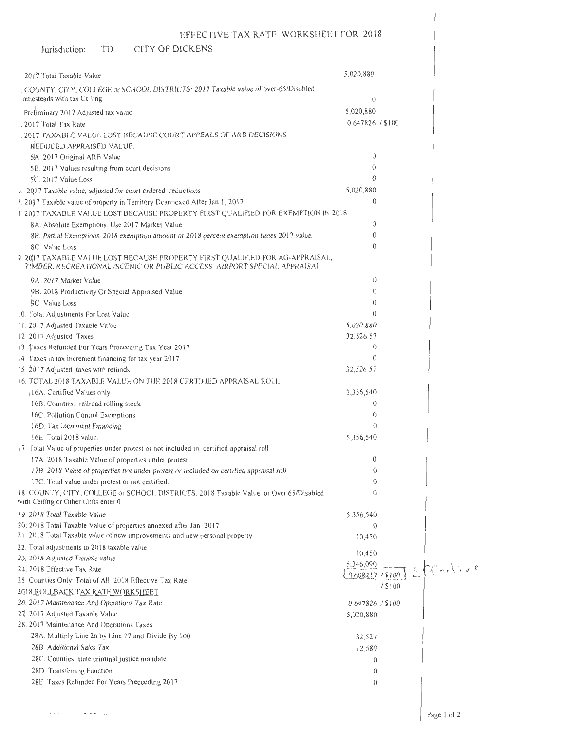#### Jurisdiction: TD CITY OF DICKENS

 $\label{eq:1} \begin{array}{lllllllll} \hline & \mbox{if $\mathfrak{a}$ & $\mathfrak{a}$ & $\mathfrak{a}$ & $\mathfrak{a}$ \\ \hline \end{array}$ 

| 2017 Total Taxable Value                                                                                                                                 | 5,020,880             |         |           |
|----------------------------------------------------------------------------------------------------------------------------------------------------------|-----------------------|---------|-----------|
| COUNTY, CITY, COLLEGE or SCHOOL DISTRICTS: 2017 Taxable value of over-65/Disabled                                                                        |                       |         |           |
| omesteads with tax Ceiling                                                                                                                               | $\Omega$              |         |           |
|                                                                                                                                                          | 5,020,880             |         |           |
| Preliminary 2017 Adjusted tax value                                                                                                                      | 0.647826 / \$100      |         |           |
| . 2017 Total Tax Rate                                                                                                                                    |                       |         |           |
| 2017 TAXABLE VALUE LOST BECAUSE COURT APPEALS OF ARB DECISIONS                                                                                           |                       |         |           |
| REDUCED APPRAISED VALUE.                                                                                                                                 |                       |         |           |
| 5A. 2017 Original ARB Value                                                                                                                              | $\mathbf{0}$          |         |           |
| 5B. 2017 Values resulting from court decisions                                                                                                           | $\theta$              |         |           |
| 5C. 2017 Value Loss                                                                                                                                      | $\Omega$              |         |           |
| 1. 2017 Taxable value, adjusted for court ordered reductions                                                                                             | 5,020,880             |         |           |
| <sup>1</sup> . 2017 Taxable value of property in Territory Deannexed After Jan 1, 2017                                                                   | $\mathbf{0}$          |         |           |
| 3 2017 TAXABLE VALUE LOST BECAUSE PROPERTY FIRST QUALIFIED FOR EXEMPTION IN 2018.                                                                        |                       |         |           |
| 8A. Absolute Exemptions. Use 2017 Market Value                                                                                                           | $\overline{0}$        |         |           |
| 8B. Partial Exemptions. 2018 exemption amount or 2018 percent exemption times 2017 value.                                                                | 0                     |         |           |
| 8C. Value Loss                                                                                                                                           | $\theta$              |         |           |
| 9. 2017 TAXABLE VALUE LOST BECAUSE PROPERTY FIRST QUALIFIED FOR AG-APPRAISAL,<br>TIMBER, RECREATIONAL /SCENIC OR PUBLIC ACCESS AIRPORT SPECIAL APPRAISAL |                       |         |           |
| 9A. 2017 Market Value                                                                                                                                    | 0                     |         |           |
|                                                                                                                                                          | $\left( \right)$      |         |           |
| 9B. 2018 Productivity Or Special Appraised Value<br>9C. Value Loss                                                                                       | 0                     |         |           |
|                                                                                                                                                          | 0                     |         |           |
| 10. Total Adjustments For Lost Value                                                                                                                     |                       |         |           |
| 11. 2017 Adjusted Taxable Value                                                                                                                          | 5,020,880             |         |           |
| 12. 2017 Adjusted Taxes                                                                                                                                  | 32,526.57<br>$\bf{0}$ |         |           |
| 13. Taxes Refunded For Years Proceeding Tax Year 2017                                                                                                    | $\theta$              |         |           |
| 14. Taxes in tax increment financing for tax year 2017                                                                                                   |                       |         |           |
| 15. 2017 Adjusted taxes with refunds                                                                                                                     | 32,526.57             |         |           |
| 16. TOTAL 2018 TAXABLE VALUE ON THE 2018 CERTIFIED APPRAISAL ROLL                                                                                        |                       |         |           |
| 16A. Certified Values only                                                                                                                               | 5,356,540             |         |           |
| 16B. Counties: railroad rolling stock                                                                                                                    | 0                     |         |           |
| 16C. Pollution Control Exemptions                                                                                                                        | 0                     |         |           |
| 16D. Tax Increment Financing                                                                                                                             | $\theta$              |         |           |
| 16E. Total 2018 value.                                                                                                                                   | 5,356,540             |         |           |
| 17. Total Value of properties under protest or not included in certified appraisal roll                                                                  |                       |         |           |
| 17A. 2018 Taxable Value of properties under protest.                                                                                                     | 0                     |         |           |
| 17B. 2018 Value of properties not under protest or included on certified appraisal roll                                                                  | $\theta$              |         |           |
| 17C. Total value under protest or not certified.                                                                                                         | $\theta$              |         |           |
| 18. COUNTY, CITY, COLLEGE or SCHOOL DISTRICTS: 2018 Taxable Value or Over 65/Disabled<br>with Ceiling or Other Units enter 0                             | $\theta$              |         |           |
| 19. 2018 Total Taxable Value                                                                                                                             | 5,356,540             |         |           |
| 20, 2018 Total Taxable Value of properties annexed after Jan 2017                                                                                        | $\theta$              |         |           |
| 21, 2018 Total Taxable value of new improvements and new personal property                                                                               | 10,450                |         |           |
| 22. Total adjustments to 2018 taxable value                                                                                                              |                       |         |           |
| 23. 2018 Adjusted Taxable value                                                                                                                          | 10,450                |         |           |
| 24. 2018 Effective Tax Rate                                                                                                                              | 5,346,090             |         | $C$ prive |
| 25) Counties Only: Total of All 2018 Effective Tax Rate                                                                                                  | 0.608417 / \$100      |         |           |
| 2018 ROLLBACK TAX RATE WORKSHEET                                                                                                                         |                       | / \$100 |           |
| 26. 2017 Maintenance And Operations Tax Rate                                                                                                             | 0.647826 / \$100      |         |           |
| 27. 2017 Adjusted Taxable Value                                                                                                                          | 5,020,880             |         |           |
| 28. 2017 Maintenance And Operations Taxes                                                                                                                |                       |         |           |
| 28A. Multiply Line 26 by Line 27 and Divide By 100                                                                                                       |                       |         |           |
| 28B. Additional Sales Tax                                                                                                                                | 32,527                |         |           |
|                                                                                                                                                          | 12,689                |         |           |
| 28C. Counties: state criminal justice mandate                                                                                                            | $\Omega$              |         |           |
| 28D. Transferring Function                                                                                                                               | $\theta$              |         |           |
| 28E. Taxes Refunded For Years Preceeding 2017                                                                                                            | $\theta$              |         |           |
|                                                                                                                                                          |                       |         |           |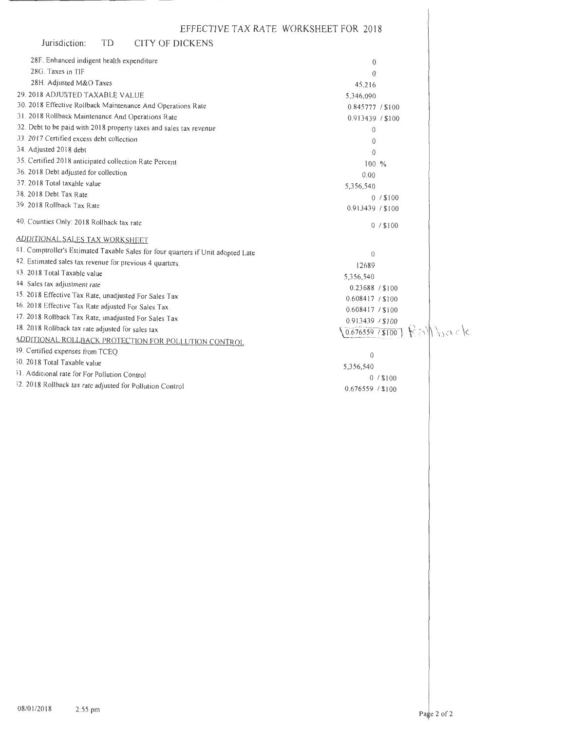| Jurisdiction:<br>TD<br>CITY OF DICKENS                                           |                  |          |
|----------------------------------------------------------------------------------|------------------|----------|
| 28F. Enhanced indigent health expenditure                                        | $\theta$         |          |
| 28G. Taxes in TIF                                                                | $\theta$         |          |
| 28H. Adjusted M&O Taxes                                                          | 45,216           |          |
| 29. 2018 ADJUSTED TAXABLE VALUE                                                  | 5,346,090        |          |
| 30. 2018 Effective Rollback Maintenance And Operations Rate                      | 0.845777 / \$100 |          |
| 31. 2018 Rollback Maintenance And Operations Rate                                | 0.913439 / \$100 |          |
| 32. Debt to be paid with 2018 property taxes and sales tax revenue               | $\theta$         |          |
| 33. 2017 Certified excess debt collection                                        | $\mathbf{0}$     |          |
| 34. Adjusted 2018 debt                                                           | $\theta$         |          |
| 35. Certified 2018 anticipated collection Rate Percent                           | $100\%$          |          |
| 36. 2018 Debt adjusted for collection                                            | 0.00             |          |
| 37. 2018 Total taxable value                                                     | 5,356,540        |          |
| 38. 2018 Debt Tax Rate                                                           | $0/$ \$100       |          |
| 39. 2018 Rollback Tax Rate                                                       | 0.913439 / \$100 |          |
| 40. Counties Only: 2018 Rollback tax rate                                        | $0/$ \$100       |          |
| ADDITIONAL SALES TAX WORKSHEET                                                   |                  |          |
| 41. Comptroller's Estimated Taxable Sales for four quarters if Unit adopted Late | $\theta$         |          |
| 42. Estimated sales tax revenue for previous 4 quarters.                         | 12689            |          |
| 43. 2018 Total Taxable value                                                     | 5,356,540        |          |
| 44. Sales tax adjustment rate                                                    | 0.23688 / \$100  |          |
| 45. 2018 Effective Tax Rate, unadjusted For Sales Tax                            | 0.608417 / \$100 |          |
| 16. 2018 Effective Tax Rate adjusted For Sales Tax                               | 0.608417 / \$100 |          |
| 47. 2018 Rollback Tax Rate, unadjusted For Sales Tax                             | 0.913439 / \$100 |          |
| 48. 2018 Rollback tax rate adjusted for sales tax                                | 0.676559 / \$100 | Kollback |
| ADDITIONAL ROLLBACK PROTECTION FOR POLLUTION CONTROL                             |                  |          |
| 19. Certified expenses from TCEQ                                                 | $\mathbf{0}$     |          |
| 50. 2018 Total Taxable value                                                     | 5,356,540        |          |
| 51. Additional rate for For Pollution Control                                    | $0/$ \$100       |          |
| 52. 2018 Rollback tax rate adjusted for Pollution Control                        | 0.676559 / \$100 |          |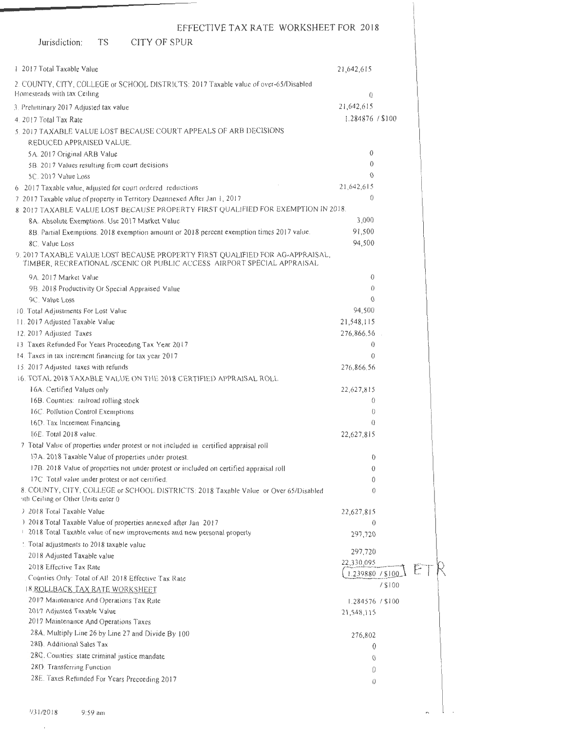### Jurisdiction: TS CITY OF SPUR

\_\_\_\_\_

| 1 2017 Total Taxable Value                                                                                                                               | 21,642,615       |         |  |
|----------------------------------------------------------------------------------------------------------------------------------------------------------|------------------|---------|--|
| 2. COUNTY, CITY, COLLEGE or SCHOOL DISTRICTS: 2017 Taxable value of over-65/Disabled                                                                     |                  |         |  |
| Homesteads with tax Ceiling                                                                                                                              | $\theta$         |         |  |
| 3. Preliminary 2017 Adjusted tax value                                                                                                                   | 21,642,615       |         |  |
| 4. 2017 Total Tax Rate                                                                                                                                   | 1.284876 / \$100 |         |  |
| 5. 2017 TAXABLE VALUE LOST BECAUSE COURT APPEALS OF ARB DECISIONS                                                                                        |                  |         |  |
| REDUCED APPRAISED VALUE.                                                                                                                                 |                  |         |  |
| 5A. 2017 Original ARB Value                                                                                                                              | $\mathbf{0}$     |         |  |
| 5B. 2017 Values resulting from court decisions                                                                                                           | $\theta$         |         |  |
| 5C. 2017 Value Loss                                                                                                                                      | $\Omega$         |         |  |
| 6 2017 Taxable value, adjusted for court ordered reductions                                                                                              | 21,642,615       |         |  |
| 7 2017 Taxable value of property in Territory Deannexed After Jan 1, 2017                                                                                | $\theta$         |         |  |
| 8 2017 TAXABLE VALUE LOST BECAUSE PROPERTY FIRST QUALIFIED FOR EXEMPTION IN 2018.                                                                        |                  |         |  |
| 8A. Absolute Exemptions. Use 2017 Market Value                                                                                                           | 3,000            |         |  |
| 8B. Partial Exemptions. 2018 exemption amount or 2018 percent exemption times 2017 value.                                                                | 91,500           |         |  |
| 8C. Value Loss                                                                                                                                           | 94,500           |         |  |
| 9. 2017 TAXABLE VALUE LOST BECAUSE PROPERTY FIRST QUALIFIED FOR AG-APPRAISAL,<br>TIMBER, RECREATIONAL /SCENIC OR PUBLIC ACCESS AIRPORT SPECIAL APPRAISAL |                  |         |  |
| 9A. 2017 Market Value                                                                                                                                    | $\theta$         |         |  |
| 9B. 2018 Productivity Or Special Appraised Value                                                                                                         | $\Omega$         |         |  |
| 9C. Value Loss                                                                                                                                           | 0                |         |  |
| 10. Total Adjustments For Lost Value                                                                                                                     | 94,500           |         |  |
| 11. 2017 Adjusted Taxable Value                                                                                                                          | 21,548,115       |         |  |
| 12.2017 Adjusted Taxes                                                                                                                                   | 276,866.56       |         |  |
| 13 Taxes Refunded For Years Proceeding Tax Year 2017                                                                                                     | $\Omega$         |         |  |
| 14. Taxes in tax increment financing for tax year 2017                                                                                                   | $\Omega$         |         |  |
| 15. 2017 Adjusted taxes with refunds                                                                                                                     | 276,866.56       |         |  |
| 16. TOTAL 2018 TAXABLE VALUE ON THE 2018 CERTIFIED APPRAISAL ROLL                                                                                        |                  |         |  |
| 16A. Certified Values only                                                                                                                               | 22,627,815       |         |  |
| 16B. Counties: railroad rolling stock                                                                                                                    | $\Omega$         |         |  |
| 16C. Pollution Control Exemptions                                                                                                                        | $\theta$         |         |  |
| 16D. Tax Increment Financing                                                                                                                             | $\theta$         |         |  |
| 16E. Total 2018 value.                                                                                                                                   | 22,627,815       |         |  |
| 7 Total Value of properties under protest or not included in certified appraisal roll                                                                    |                  |         |  |
| 17A. 2018 Taxable Value of properties under protest.                                                                                                     | $\theta$         |         |  |
| 17B. 2018 Value of properties not under protest or included on certified appraisal roll                                                                  | $\theta$         |         |  |
| 17C. Total value under protest or not certified.                                                                                                         | 0                |         |  |
| 8. COUNTY, CITY, COLLEGE or SCHOOL, DISTRICTS: 2018 Taxable Value or Over 65/Disabled<br>4th Ceiling or Other Units enter 0                              | $\theta$         |         |  |
| ) 2018 Total Taxable Value                                                                                                                               | 22,627,815       |         |  |
| 1 2018 Total Taxable Value of properties annexed after Jan 2017                                                                                          | $\mathbf{0}$     |         |  |
| 2018 Total Taxable value of new improvements and new personal property                                                                                   | 297,720          |         |  |
| : Total adjustments to 2018 taxable value                                                                                                                |                  |         |  |
| 2018 Adjusted Taxable value                                                                                                                              | 297,720          |         |  |
| 2018 Effective Tax Rate                                                                                                                                  | 22,330,095       |         |  |
| Counties Only: Total of All 2018 Effective Tax Rate                                                                                                      | 1.239880 / \$100 |         |  |
| 18 ROLLBACK TAX RATE WORKSHEET                                                                                                                           |                  | / \$100 |  |
| 2017 Maintenance And Operations Tax Rate                                                                                                                 | 1.284576 / \$100 |         |  |
| 2017 Adjusted Taxable Value                                                                                                                              | 21,548,115       |         |  |
| 2017 Maintenance And Operations Taxes                                                                                                                    |                  |         |  |
| 28A. Multiply Line 26 by Line 27 and Divide By 100                                                                                                       | 276,802          |         |  |
| 28B. Additional Sales Tax                                                                                                                                | 0                |         |  |
| 28C. Counties: state criminal justice mandate                                                                                                            | $\theta$         |         |  |
| 28D. Transferring Function                                                                                                                               | 0                |         |  |
| 28E. Taxes Refunded For Years Preceeding 2017                                                                                                            | $\theta$         |         |  |
|                                                                                                                                                          |                  |         |  |

 $\overline{D}$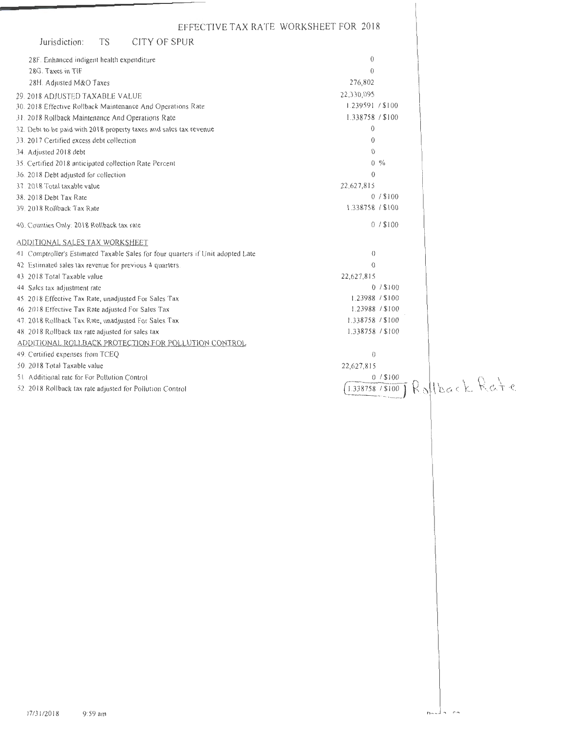| EFFECTIVE TAX RATE WORKSHEET FOR 2018                                                                            |                                |
|------------------------------------------------------------------------------------------------------------------|--------------------------------|
| CITY OF SPUR<br>Jurisdiction:<br>TS                                                                              |                                |
| 28F. Enhanced indigent health expenditure                                                                        | $\theta$                       |
| 28G. Taxes in TIF                                                                                                | $\theta$                       |
| 28H. Adjusted M&O Taxes                                                                                          | 276,802                        |
| 29. 2018 ADJUSTED TAXABLE VALUE                                                                                  | 22,330,095<br>1.239591 / \$100 |
| 30. 2018 Effective Rollback Maintenance And Operations Rate<br>31. 2018 Rollback Maintenance And Operations Rate | 1.338758 / \$100               |
| 32. Debt to be paid with 2018 property taxes and sales tax revenue                                               | $\theta$                       |
| 33. 2017 Certified excess debt collection                                                                        | $\overline{0}$                 |
| 34. Adjusted 2018 debt                                                                                           | $\theta$                       |
| 35. Certified 2018 anticipated collection Rate Percent                                                           | $0 \frac{9}{6}$                |
| 36. 2018 Debt adjusted for collection                                                                            | $\theta$                       |
| 37. 2018 Total taxable value                                                                                     | 22,627,815                     |
| 38. 2018 Debt Tax Rate                                                                                           | 0/1100                         |
| 39. 2018 Rollback Tax Rate                                                                                       | 1.338758 / \$100               |
| 40. Counties Only: 2018 Rollback tax rate                                                                        | $0/$ \$100                     |
| ADDITIONAL SALES TAX WORKSHEET                                                                                   |                                |
| 41 Comptroller's Estimated Taxable Sales for four quarters if Unit adopted Late                                  | $\left( \right)$               |
| 42 Estimated sales tax revenue for previous 4 quarters                                                           | $\theta$                       |
| 43 2018 Total Taxable value                                                                                      | 22,627,815                     |
| 44. Salcs tax adjustment rate                                                                                    | 0/15100<br>1.23988 / \$100     |
| 45. 2018 Effective Tax Rate, unadjusted For Sales Tax<br>46 2018 Effective Tax Rate adjusted For Sales Tax       | 1.23988 / \$100                |
| 47. 2018 Rollback Tax Rate, unadjusted For Sales Tax                                                             | 1.338758 / \$100               |
| 48. 2018 Rollback tax rate adjusted for sales tax                                                                | 1.338758 / \$100               |
| ADDITIONAL ROLLBACK PROTECTION FOR POLLUTION CONTROL                                                             |                                |
| 49. Certified expenses from TCEQ                                                                                 | $\theta$                       |
| 50. 2018 Total Taxable value                                                                                     | 22,627,815                     |
| 51 Additional rate for For Pollution Control                                                                     | $0/$ \$100<br>Rollback Rate    |
| 52. 2018 Rollback tax rate adjusted for Pollution Control                                                        | 1.338758 / \$100               |
|                                                                                                                  |                                |
|                                                                                                                  |                                |
|                                                                                                                  |                                |
|                                                                                                                  |                                |
|                                                                                                                  |                                |
|                                                                                                                  |                                |
|                                                                                                                  |                                |
|                                                                                                                  |                                |
|                                                                                                                  |                                |
|                                                                                                                  |                                |
|                                                                                                                  |                                |
|                                                                                                                  |                                |
|                                                                                                                  |                                |
|                                                                                                                  |                                |
|                                                                                                                  |                                |
|                                                                                                                  |                                |
|                                                                                                                  |                                |
|                                                                                                                  |                                |
|                                                                                                                  |                                |
|                                                                                                                  |                                |
|                                                                                                                  |                                |
|                                                                                                                  |                                |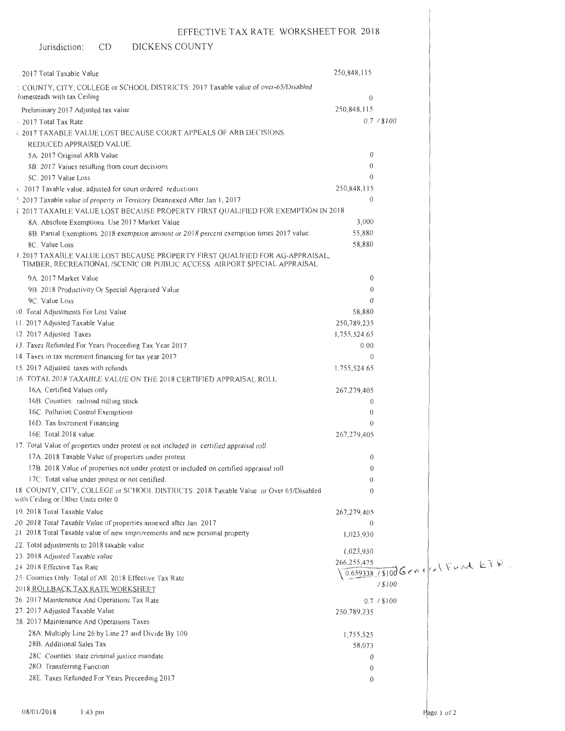#### Jurisdiction:  $CD$ DICKENS COUNTY

| 2017 Total Taxable Value                                                                                                                                 | 250,848,115      |                                 |  |
|----------------------------------------------------------------------------------------------------------------------------------------------------------|------------------|---------------------------------|--|
| : COUNTY, CITY, COLLEGE or SCHOOL DISTRICTS: 2017 Taxable value of over-65/Disabled                                                                      |                  |                                 |  |
| lomesteads with tax Ceiling                                                                                                                              | $\theta$         |                                 |  |
| Preliminary 2017 Adjusted tax value                                                                                                                      | 250,848,115      |                                 |  |
| . 2017 Total Tax Rate                                                                                                                                    |                  | 0.7 / \$100                     |  |
| 5, 2017 TAXABLE VALUE LOST BECAUSE COURT APPEALS OF ARB DECISIONS                                                                                        |                  |                                 |  |
| REDUCED APPRAISED VALUE.                                                                                                                                 |                  |                                 |  |
| 5A. 2017 Original ARB Value                                                                                                                              | 0                |                                 |  |
| 5B. 2017 Values resulting from court decisions                                                                                                           | $\theta$         |                                 |  |
| 5C. 2017 Value Loss                                                                                                                                      | $\theta$         |                                 |  |
| 1. 2017 Taxable value, adjusted for court ordered reductions                                                                                             | 250,848,115      |                                 |  |
| <sup>1</sup> . 2017 Taxable value of property in Territory Deannexed After Jan 1, 2017                                                                   | $\theta$         |                                 |  |
| 3 2017 TAXABLE VALUE LOST BECAUSE PROPERTY FIRST QUALIFIED FOR EXEMPTION IN 2018.                                                                        |                  |                                 |  |
| 8A. Absolute Exemptions. Use 2017 Market Value                                                                                                           | 3,000            |                                 |  |
| 8B. Partial Exemptions. 2018 exemption amount or 2018 percent exemption times 2017 value.                                                                | 55,880           |                                 |  |
| 8C. Value Loss                                                                                                                                           | 58,880           |                                 |  |
| ). 2017 TAXABLE VALUE LOST BECAUSE PROPERTY FIRST QUALIFIED FOR AG-APPRAISAL,<br>TIMBER, RECREATIONAL /SCENIC OR PUBLIC ACCESS AIRPORT SPECIAL APPRAISAL |                  |                                 |  |
| 9A. 2017 Market Value                                                                                                                                    | $\mathbf{0}$     |                                 |  |
| 9B. 2018 Productivity Or Special Appraised Value                                                                                                         | 0                |                                 |  |
| 9C. Value Loss                                                                                                                                           | $\Omega$         |                                 |  |
| 10. Total Adjustments For Lost Value                                                                                                                     | 58,880           |                                 |  |
| 11. 2017 Adjusted Taxable Value                                                                                                                          | 250,789,235      |                                 |  |
| 12. 2017 Adjusted Taxes                                                                                                                                  | 1,755,524.65     |                                 |  |
| 13. Taxes Refunded For Years Proceeding Tax Year 2017                                                                                                    | 0.00             |                                 |  |
| 14. Taxes in tax increment financing for tax year 2017                                                                                                   | $\theta$         |                                 |  |
| 15. 2017 Adjusted taxes with refunds                                                                                                                     | 1,755,524.65     |                                 |  |
| 16. TOTAL 2018 TAXABLE VALUE ON THE 2018 CERTIFIED APPRAISAL ROLL                                                                                        |                  |                                 |  |
| 16A. Certified Values only                                                                                                                               | 267, 279, 405    |                                 |  |
| 16B. Counties: railroad rolling stock                                                                                                                    | 0                |                                 |  |
| 16C. Pollution Control Exemptions                                                                                                                        | $\theta$         |                                 |  |
| 16D. Tax Increment Financing                                                                                                                             | $\left( \right)$ |                                 |  |
| 16E. Total 2018 value.                                                                                                                                   | 267,279,405      |                                 |  |
| 17. Total Value of properties under protest or not included in certified appraisal roll                                                                  |                  |                                 |  |
| 17A. 2018 Taxable Value of properties under protest.                                                                                                     | $\theta$         |                                 |  |
| 17B. 2018 Value of properties not under protest or included on certified appraisal roll                                                                  | 0                |                                 |  |
| 17C. Total value under protest or not certified.                                                                                                         | $\theta$         |                                 |  |
| 18 COUNTY, CITY, COLLEGE or SCHOOL DISTRICTS: 2018 Taxable Value or Over 65/Disabled<br>with Ceiling or Other Units enter 0                              | $\theta$         |                                 |  |
| 19. 2018 Total Taxable Value                                                                                                                             | 267,279,405      |                                 |  |
| 20. 2018 Total Taxable Value of properties annexed after Jan 2017                                                                                        | $\theta$         |                                 |  |
| 21. 2018 Total Taxable value of new improvements and new personal property                                                                               | 1,023,930        |                                 |  |
| 22. Total adjustments to 2018 taxable value                                                                                                              | 1,023,930        |                                 |  |
| 23. 2018 Adjusted Taxable value                                                                                                                          | 266, 255, 475    |                                 |  |
| 24. 2018 Effective Tax Rate                                                                                                                              |                  | 0.659338/8100 General Fund ETR. |  |
| 25. Counties Only: Total of All 2018 Effective Tax Rate                                                                                                  |                  | / \$100                         |  |
| 2018 ROLLBACK TAX RATE WORKSHEET                                                                                                                         |                  |                                 |  |
| 26. 2017 Maintenance And Operations Tax Rate                                                                                                             |                  | 0.7 / \$100                     |  |
| 27. 2017 Adjusted Taxable Value                                                                                                                          | 250,789,235      |                                 |  |
| 28. 2017 Maintenance And Operations Taxes                                                                                                                |                  |                                 |  |
| 28A. Multiply Line 26 by Line 27 and Divide By 100                                                                                                       | 1,755,525        |                                 |  |
| 28B. Additional Sales Tax                                                                                                                                | 58,073           |                                 |  |
| 28C. Counties: state criminal justice mandate                                                                                                            | $\theta$         |                                 |  |
| 28D. Transferring Function                                                                                                                               | $\theta$         |                                 |  |
| 28E. Taxes Refunded For Years Preceeding 2017                                                                                                            | $\theta$         |                                 |  |
|                                                                                                                                                          |                  |                                 |  |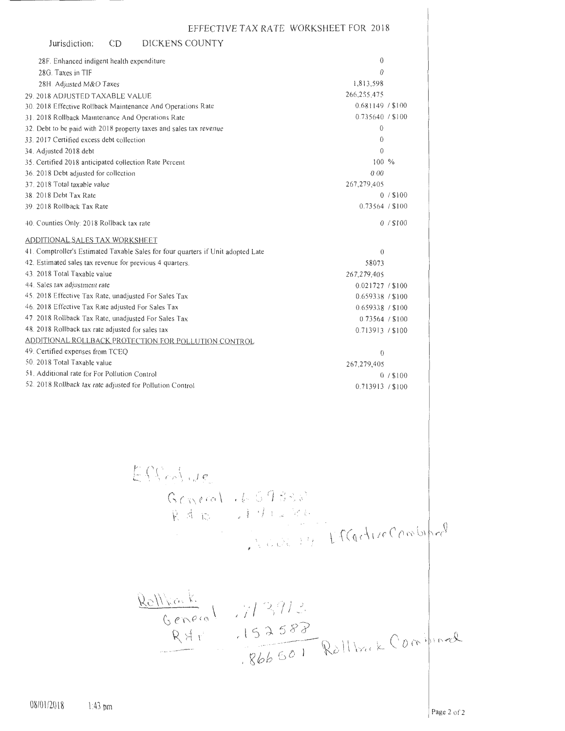| Jurisdiction:                                                    | C <sub>D</sub> | DICKENS COUNTY                                                                   |                                        |                  |  |
|------------------------------------------------------------------|----------------|----------------------------------------------------------------------------------|----------------------------------------|------------------|--|
| 28F. Enhanced indigent health expenditure                        |                |                                                                                  |                                        | 0                |  |
| 28G. Taxes in TIF                                                |                |                                                                                  |                                        | $\theta$         |  |
| 28H. Adjusted M&O Taxes                                          |                |                                                                                  | 1,813,598                              |                  |  |
| 29. 2018 ADJUSTED TAXABLE VALUE                                  |                |                                                                                  | 266,255,475                            |                  |  |
| 30. 2018 Effective Rollback Maintenance And Operations Rate      |                |                                                                                  |                                        | 0.681149 / \$100 |  |
| 31. 2018 Rollback Maintenance And Operations Rate                |                |                                                                                  |                                        | 0.735640 / \$100 |  |
|                                                                  |                | 32. Debt to be paid with 2018 property taxes and sales tax revenue               |                                        | $\boldsymbol{0}$ |  |
| 33. 2017 Certified excess debt collection                        |                |                                                                                  |                                        | $\bf{0}$         |  |
| 34. Adjusted 2018 debt                                           |                |                                                                                  |                                        | 0                |  |
| 35. Certified 2018 anticipated collection Rate Percent           |                |                                                                                  |                                        | 100 %            |  |
| 36. 2018 Debt adjusted for collection                            |                |                                                                                  |                                        | 0.00             |  |
| 37. 2018 Total taxable value                                     |                |                                                                                  | 267, 279, 405                          |                  |  |
| 38. 2018 Debt Tax Rate                                           |                |                                                                                  |                                        | $0/$ \$100       |  |
| 39. 2018 Rollback Tax Rate                                       |                |                                                                                  |                                        | 0.73564 / \$100  |  |
| 40. Counties Only: 2018 Rollback tax rate                        |                |                                                                                  |                                        | $0/$ \$100       |  |
| <b>ADDITIONAL SALES TAX WORKSHEET</b>                            |                |                                                                                  |                                        |                  |  |
|                                                                  |                | 41. Comptroller's Estimated Taxable Sales for four quarters if Unit adopted Late |                                        | $\theta$         |  |
| 42. Estimated sales tax revenue for previous 4 quarters.         |                |                                                                                  |                                        | 58073            |  |
| 43. 2018 Total Taxable value                                     |                |                                                                                  | 267,279,405                            |                  |  |
| 44. Sales tax adjustment rate                                    |                |                                                                                  |                                        | 0.021727 / \$100 |  |
| 45. 2018 Effective Tax Rate, unadjusted For Sales Tax            |                |                                                                                  |                                        | 0.659338 / \$100 |  |
| 46. 2018 Effective Tax Rate adjusted For Sales Tax               |                |                                                                                  |                                        | 0.659338 / \$100 |  |
| 47. 2018 Rollback Tax Rate, unadjusted For Sales Tax             |                |                                                                                  |                                        | 0.73564 / \$100  |  |
| 48. 2018 Rollback tax rate adjusted for sales tax                |                |                                                                                  |                                        | 0.713913 / \$100 |  |
|                                                                  |                | ADDITIONAL ROLLBACK PROTECTION FOR POLLUTION CONTROL                             |                                        |                  |  |
| 49. Certified expenses from TCEQ<br>50. 2018 Total Taxable value |                |                                                                                  |                                        | $\theta$         |  |
| 51. Additional rate for For Pollution Control                    |                |                                                                                  | 267,279,405                            |                  |  |
|                                                                  |                |                                                                                  |                                        | $0/$ \$100       |  |
| 52. 2018 Rollback tax rate adjusted for Pollution Control        |                |                                                                                  |                                        | 0.713913 / \$100 |  |
|                                                                  |                |                                                                                  |                                        |                  |  |
|                                                                  |                | ESKchue<br>General 1659388                                                       |                                        |                  |  |
|                                                                  |                |                                                                                  | Rd B JIMLAR                            |                  |  |
|                                                                  |                |                                                                                  |                                        |                  |  |
|                                                                  |                |                                                                                  |                                        |                  |  |
|                                                                  |                |                                                                                  | NOUR IN Effective Combined             |                  |  |
|                                                                  |                |                                                                                  |                                        |                  |  |
|                                                                  |                |                                                                                  |                                        |                  |  |
|                                                                  |                | Rollfork<br>General 1/13913                                                      |                                        |                  |  |
|                                                                  |                |                                                                                  | RXT 152588<br>1866501 Rollback Command |                  |  |
|                                                                  |                |                                                                                  |                                        |                  |  |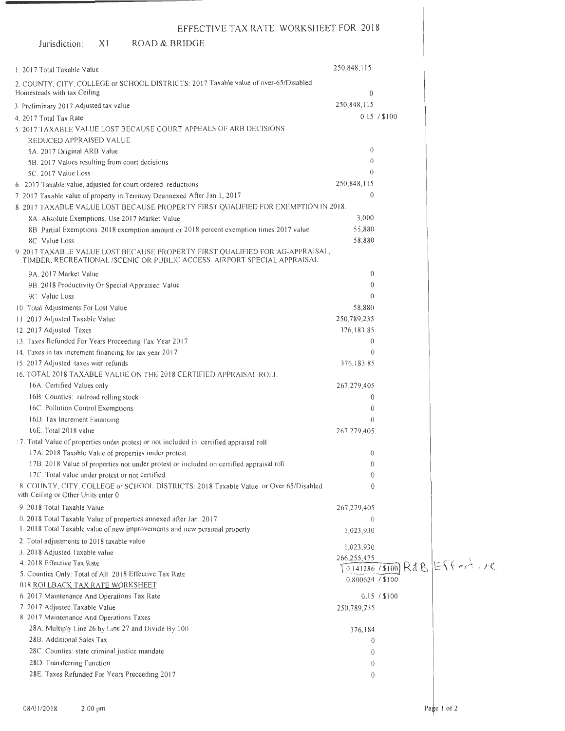| LITLUTIVL IAA IVITL WORKOHUU TUR LOR                                                                                                                     |                  |              |                          |
|----------------------------------------------------------------------------------------------------------------------------------------------------------|------------------|--------------|--------------------------|
| ROAD & BRIDGE<br>Jurisdiction:<br>X <sub>1</sub>                                                                                                         |                  |              |                          |
| 1.2017 Total Taxable Value                                                                                                                               | 250,848,115      |              |                          |
|                                                                                                                                                          |                  |              |                          |
| 2. COUNTY, CITY, COLLEGE or SCHOOL DISTRICTS: 2017 Taxable value of over-65/Disabled<br>Homesteads with tax Ceiling                                      | $\mathbf{0}$     |              |                          |
| 3. Preliminary 2017 Adjusted tax value                                                                                                                   | 250,848,115      |              |                          |
| 4. 2017 Total Tax Rate                                                                                                                                   |                  | 0.15 / \$100 |                          |
| 5. 2017 TAXABLE VALUE LOST BECAUSE COURT APPEALS OF ARB DECISIONS                                                                                        |                  |              |                          |
| REDUCED APPRAISED VALUE.                                                                                                                                 |                  |              |                          |
| 5A. 2017 Original ARB Value                                                                                                                              | $\Omega$         |              |                          |
| 5B. 2017 Values resulting from court decisions                                                                                                           | 0                |              |                          |
| 5C. 2017 Value Loss                                                                                                                                      | $\theta$         |              |                          |
| 6. 2017 Taxable value, adjusted for court ordered reductions                                                                                             | 250,848,115      |              |                          |
| 7. 2017 Taxable value of property in Territory Deannexed After Jan 1, 2017                                                                               | $\theta$         |              |                          |
| 8 2017 TAXABLE VALUE LOST BECAUSE PROPERTY FIRST QUALIFIED FOR EXEMPTION IN 2018.                                                                        |                  |              |                          |
| 8A. Absolute Exemptions. Use 2017 Market Value                                                                                                           | 3,000            |              |                          |
| 8B. Partial Exemptions. 2018 exemption amount or 2018 percent exemption times 2017 value.                                                                | 55,880           |              |                          |
| 8C. Value Loss                                                                                                                                           | 58,880           |              |                          |
| 9. 2017 TAXABLE VALUE LOST BECAUSE PROPERTY FIRST QUALIFIED FOR AG-APPRAISAL,<br>TIMBER, RECREATIONAL /SCENIC OR PUBLIC ACCESS AIRPORT SPECIAL APPRAISAL |                  |              |                          |
| 9A. 2017 Market Value                                                                                                                                    | 0                |              |                          |
| 9B. 2018 Productivity Or Special Appraised Value                                                                                                         | 0                |              |                          |
| 9C. Value Loss                                                                                                                                           | $\theta$         |              |                          |
| 10. Total Adjustments For Lost Value                                                                                                                     | 58,880           |              |                          |
| 11. 2017 Adjusted Taxable Value                                                                                                                          | 250,789,235      |              |                          |
| 12. 2017 Adjusted Taxes                                                                                                                                  | 376,183.85       |              |                          |
| 13. Taxes Refunded For Years Proceeding Tax Year 2017                                                                                                    | $\Omega$         |              |                          |
| 14. Taxes in tax increment financing for tax year 2017                                                                                                   | $\theta$         |              |                          |
| 15.2017 Adjusted taxes with refunds                                                                                                                      | 376,183.85       |              |                          |
| 16. TOTAL 2018 TAXABLE VALUE ON THE 2018 CERTIFIED APPRAISAL ROLL                                                                                        |                  |              |                          |
| 16A. Certified Values only                                                                                                                               | 267,279,405      |              |                          |
| 16B. Counties: railroad rolling stock                                                                                                                    | $\theta$         |              |                          |
| 16C. Pollution Control Exemptions                                                                                                                        | 0                |              |                          |
| 16D. Tax Increment Financing                                                                                                                             | $\Omega$         |              |                          |
| 16E. Total 2018 value.                                                                                                                                   | 267,279,405      |              |                          |
| 17. Total Value of properties under protest or not included in certified appraisal roll                                                                  |                  |              |                          |
| 17A. 2018 Taxable Value of properties under protest.                                                                                                     | $\theta$         |              |                          |
| 17B. 2018 Value of properties not under protest or included on certified appraisal roll                                                                  | $\theta$         |              |                          |
| 17C. Total value under protest or not certified.                                                                                                         | 0                |              |                          |
| 8. COUNTY, CITY, COLLEGE or SCHOOL DISTRICTS: 2018 Taxable Value or Over 65/Disabled<br>vith Ceiling or Other Units enter 0                              | $\Omega$         |              |                          |
| 9. 2018 Total Taxable Value                                                                                                                              | 267,279,405      |              |                          |
| 0. 2018 Total Taxable Value of properties annexed after Jan 2017                                                                                         | $\theta$         |              |                          |
| 1. 2018 Total Taxable value of new improvements and new personal property                                                                                | 1,023,930        |              |                          |
| 2. Total adjustments to 2018 taxable value                                                                                                               | 1,023,930        |              |                          |
| 3. 2018 Adjusted Taxable value                                                                                                                           | 266,255,475      |              |                          |
| 4. 2018 Effective Tax Rate                                                                                                                               |                  |              | 0.141286/8100 RdB Effert |
| 5. Counties Only: Total of All 2018 Effective Tax Rate                                                                                                   | 0.800624 / \$100 |              |                          |
| 018 ROLLBACK TAX RATE WORKSHEET                                                                                                                          |                  |              |                          |
| 6. 2017 Maintenance And Operations Tax Rate                                                                                                              |                  | 0.15 / \$100 |                          |
| 7. 2017 Adjusted Taxable Value                                                                                                                           | 250,789,235      |              |                          |
| 8. 2017 Maintenance And Operations Taxes                                                                                                                 |                  |              |                          |
| 28A. Multiply Line 26 by Line 27 and Divide By 100                                                                                                       | 376,184          |              |                          |
| 28B. Additional Sales Tax                                                                                                                                | $\theta$         |              |                          |
| 28C. Counties: state criminal justice mandate                                                                                                            | $\theta$         |              |                          |
| 28D. Transferring Function                                                                                                                               | 0                |              |                          |
| 28E. Taxes Refunded For Years Preceeding 2017                                                                                                            | $\mathbf 0$      |              |                          |